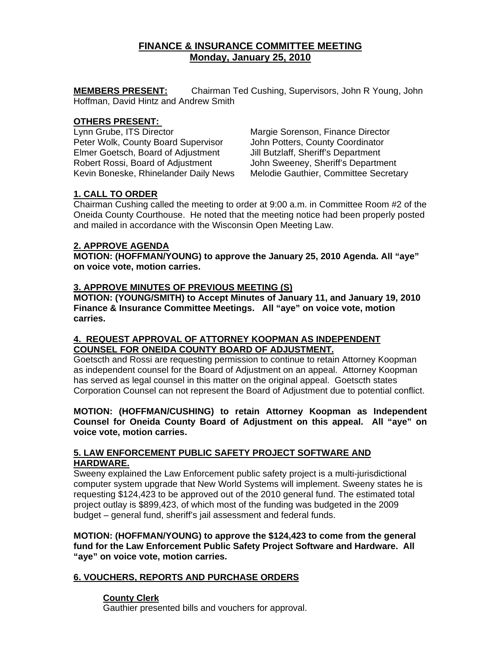# **FINANCE & INSURANCE COMMITTEE MEETING Monday, January 25, 2010**

**MEMBERS PRESENT:** Chairman Ted Cushing, Supervisors, John R Young, John Hoffman, David Hintz and Andrew Smith

#### **OTHERS PRESENT:**

Lynn Grube, ITS Director Margie Sorenson, Finance Director Peter Wolk, County Board Supervisor John Potters, County Coordinator Elmer Goetsch, Board of Adjustment Jill Butzlaff, Sheriff's Department Robert Rossi, Board of Adjustment John Sweeney, Sheriff's Department Kevin Boneske, Rhinelander Daily News Melodie Gauthier, Committee Secretary

# **1. CALL TO ORDER**

Chairman Cushing called the meeting to order at 9:00 a.m. in Committee Room #2 of the Oneida County Courthouse. He noted that the meeting notice had been properly posted and mailed in accordance with the Wisconsin Open Meeting Law.

# **2. APPROVE AGENDA**

**MOTION: (HOFFMAN/YOUNG) to approve the January 25, 2010 Agenda. All "aye" on voice vote, motion carries.** 

# **3. APPROVE MINUTES OF PREVIOUS MEETING (S)**

**MOTION: (YOUNG/SMITH) to Accept Minutes of January 11, and January 19, 2010 Finance & Insurance Committee Meetings. All "aye" on voice vote, motion carries.** 

#### **4. REQUEST APPROVAL OF ATTORNEY KOOPMAN AS INDEPENDENT COUNSEL FOR ONEIDA COUNTY BOARD OF ADJUSTMENT.**

Goetscth and Rossi are requesting permission to continue to retain Attorney Koopman as independent counsel for the Board of Adjustment on an appeal. Attorney Koopman has served as legal counsel in this matter on the original appeal. Goetscth states Corporation Counsel can not represent the Board of Adjustment due to potential conflict.

#### **MOTION: (HOFFMAN/CUSHING) to retain Attorney Koopman as Independent Counsel for Oneida County Board of Adjustment on this appeal. All "aye" on voice vote, motion carries.**

# **5. LAW ENFORCEMENT PUBLIC SAFETY PROJECT SOFTWARE AND HARDWARE.**

Sweeny explained the Law Enforcement public safety project is a multi-jurisdictional computer system upgrade that New World Systems will implement. Sweeny states he is requesting \$124,423 to be approved out of the 2010 general fund. The estimated total project outlay is \$899,423, of which most of the funding was budgeted in the 2009 budget – general fund, sheriff's jail assessment and federal funds.

**MOTION: (HOFFMAN/YOUNG) to approve the \$124,423 to come from the general fund for the Law Enforcement Public Safety Project Software and Hardware. All "aye" on voice vote, motion carries.** 

# **6. VOUCHERS, REPORTS AND PURCHASE ORDERS**

# **County Clerk**

Gauthier presented bills and vouchers for approval.